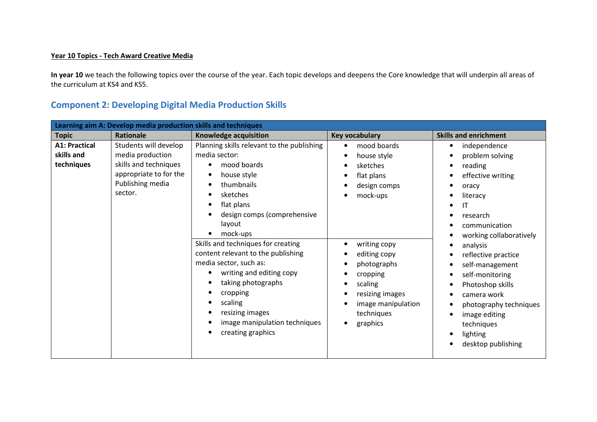## Year 10 Topics - Tech Award Creative Media

In year 10 we teach the following topics over the course of the year. Each topic develops and deepens the Core knowledge that will underpin all areas of the curriculum at KS4 and KS5.

## Component 2: Developing Digital Media Production Skills

| Learning aim A: Develop media production skills and techniques |                                                                                                                             |                                                                                                                                                                                                                                                                                                                                                                                                                                                |                                                                                                                                                                                                                                                     |                                                                                                                                                                                                                                                                                                                                                                |
|----------------------------------------------------------------|-----------------------------------------------------------------------------------------------------------------------------|------------------------------------------------------------------------------------------------------------------------------------------------------------------------------------------------------------------------------------------------------------------------------------------------------------------------------------------------------------------------------------------------------------------------------------------------|-----------------------------------------------------------------------------------------------------------------------------------------------------------------------------------------------------------------------------------------------------|----------------------------------------------------------------------------------------------------------------------------------------------------------------------------------------------------------------------------------------------------------------------------------------------------------------------------------------------------------------|
| <b>Topic</b>                                                   | Rationale                                                                                                                   | <b>Knowledge acquisition</b>                                                                                                                                                                                                                                                                                                                                                                                                                   | <b>Key vocabulary</b>                                                                                                                                                                                                                               | <b>Skills and enrichment</b>                                                                                                                                                                                                                                                                                                                                   |
| <b>A1: Practical</b><br>skills and<br>techniques               | Students will develop<br>media production<br>skills and techniques<br>appropriate to for the<br>Publishing media<br>sector. | Planning skills relevant to the publishing<br>media sector:<br>mood boards<br>house style<br>thumbnails<br>sketches<br>flat plans<br>design comps (comprehensive<br>layout<br>mock-ups<br>Skills and techniques for creating<br>content relevant to the publishing<br>media sector, such as:<br>writing and editing copy<br>taking photographs<br>cropping<br>scaling<br>resizing images<br>image manipulation techniques<br>creating graphics | mood boards<br>$\bullet$<br>house style<br>sketches<br>flat plans<br>design comps<br>mock-ups<br>writing copy<br>editing copy<br>photographs<br>cropping<br>scaling<br>resizing images<br>image manipulation<br>techniques<br>graphics<br>$\bullet$ | independence<br>٠<br>problem solving<br>reading<br>effective writing<br>oracy<br>literacy<br>ΙT<br>research<br>communication<br>working collaboratively<br>analysis<br>reflective practice<br>self-management<br>self-monitoring<br>Photoshop skills<br>camera work<br>photography techniques<br>image editing<br>techniques<br>lighting<br>desktop publishing |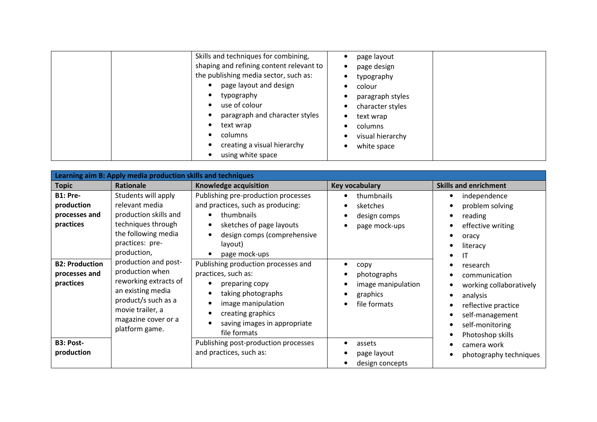| Skills and techniques for combining,<br>shaping and refining content relevant to<br>the publishing media sector, such as:<br>page layout and design<br>typography<br>use of colour<br>paragraph and character styles<br>text wrap<br>columns<br>creating a visual hierarchy<br>using white space | page layout<br>page design<br>typography<br>colour<br>paragraph styles<br>character styles<br>text wrap<br>$\bullet$<br>columns<br>visual hierarchy<br>white space<br>$\bullet$ |
|--------------------------------------------------------------------------------------------------------------------------------------------------------------------------------------------------------------------------------------------------------------------------------------------------|---------------------------------------------------------------------------------------------------------------------------------------------------------------------------------|
|--------------------------------------------------------------------------------------------------------------------------------------------------------------------------------------------------------------------------------------------------------------------------------------------------|---------------------------------------------------------------------------------------------------------------------------------------------------------------------------------|

| Learning aim B: Apply media production skills and techniques |                                                                                                                                                                           |                                                                                                                                                                                               |                                                                                             |                                                                                                                                                                                                                                      |
|--------------------------------------------------------------|---------------------------------------------------------------------------------------------------------------------------------------------------------------------------|-----------------------------------------------------------------------------------------------------------------------------------------------------------------------------------------------|---------------------------------------------------------------------------------------------|--------------------------------------------------------------------------------------------------------------------------------------------------------------------------------------------------------------------------------------|
| <b>Topic</b>                                                 | <b>Rationale</b>                                                                                                                                                          | <b>Knowledge acquisition</b>                                                                                                                                                                  | <b>Key vocabulary</b>                                                                       | <b>Skills and enrichment</b>                                                                                                                                                                                                         |
| <b>B1: Pre-</b><br>production<br>processes and<br>practices  | Students will apply<br>relevant media<br>production skills and<br>techniques through<br>the following media<br>practices: pre-<br>production,                             | Publishing pre-production processes<br>and practices, such as producing:<br>thumbnails<br>sketches of page layouts<br>design comps (comprehensive<br>layout)<br>page mock-ups                 | thumbnails<br>$\bullet$<br>sketches<br>٠<br>design comps<br>٠<br>page mock-ups<br>$\bullet$ | independence<br>$\bullet$<br>problem solving<br>$\bullet$<br>reading<br>٠<br>effective writing<br>$\bullet$<br>oracy<br>$\bullet$<br>literacy<br>$\bullet$<br>IT<br>$\bullet$                                                        |
| <b>B2: Production</b><br>processes and<br>practices          | production and post-<br>production when<br>reworking extracts of<br>an existing media<br>product/s such as a<br>movie trailer, a<br>magazine cover or a<br>platform game. | Publishing production processes and<br>practices, such as:<br>preparing copy<br>taking photographs<br>image manipulation<br>creating graphics<br>saving images in appropriate<br>file formats | copy<br>photographs<br>٠<br>image manipulation<br>graphics<br>٠<br>file formats             | research<br>$\bullet$<br>communication<br>$\bullet$<br>working collaboratively<br>analysis<br>$\bullet$<br>reflective practice<br>٠<br>self-management<br>$\bullet$<br>self-monitoring<br>$\bullet$<br>Photoshop skills<br>$\bullet$ |
| B3: Post-<br>production                                      |                                                                                                                                                                           | Publishing post-production processes<br>and practices, such as:                                                                                                                               | assets<br>page layout<br>design concepts                                                    | camera work<br>$\bullet$<br>photography techniques<br>$\bullet$                                                                                                                                                                      |